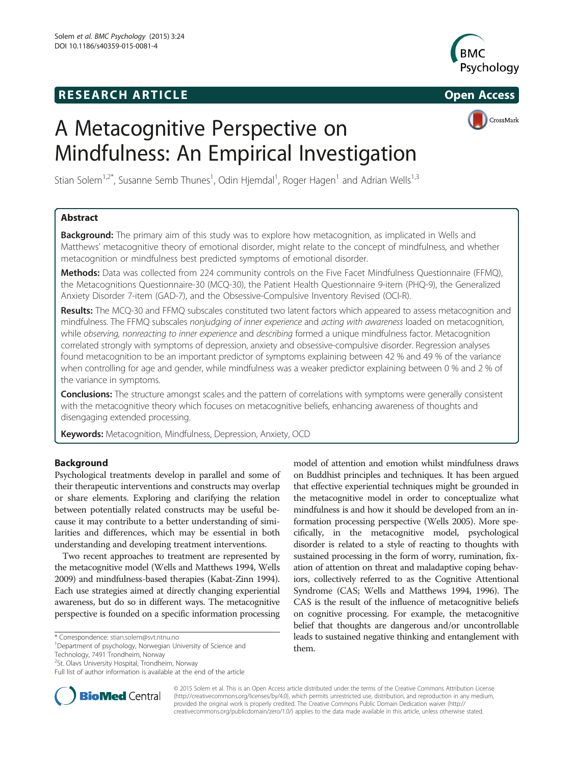### **RESEARCH ARTICLE Example 2014 CONSIDERING CONSIDERING CONSIDERING CONSIDERING CONSIDERING CONSIDERING CONSIDERING CONSIDERING CONSIDERING CONSIDERING CONSIDERING CONSIDERING CONSIDERING CONSIDERING CONSIDERING CONSIDE**



## CrossMark

# A Metacognitive Perspective on Mindfulness: An Empirical Investigation

Stian Solem<sup>1,2\*</sup>, Susanne Semb Thunes<sup>1</sup>, Odin Hjemdal<sup>1</sup>, Roger Hagen<sup>1</sup> and Adrian Wells<sup>1,3</sup>

### Abstract

**Background:** The primary aim of this study was to explore how metacognition, as implicated in Wells and Matthews' metacognitive theory of emotional disorder, might relate to the concept of mindfulness, and whether metacognition or mindfulness best predicted symptoms of emotional disorder.

Methods: Data was collected from 224 community controls on the Five Facet Mindfulness Questionnaire (FFMQ), the Metacognitions Questionnaire-30 (MCQ-30), the Patient Health Questionnaire 9-item (PHQ-9), the Generalized Anxiety Disorder 7-item (GAD-7), and the Obsessive-Compulsive Inventory Revised (OCI-R).

Results: The MCQ-30 and FFMQ subscales constituted two latent factors which appeared to assess metacognition and mindfulness. The FFMQ subscales nonjudging of inner experience and acting with awareness loaded on metacognition, while observing, nonreacting to inner experience and describing formed a unique mindfulness factor. Metacognition correlated strongly with symptoms of depression, anxiety and obsessive-compulsive disorder. Regression analyses found metacognition to be an important predictor of symptoms explaining between 42 % and 49 % of the variance when controlling for age and gender, while mindfulness was a weaker predictor explaining between 0 % and 2 % of the variance in symptoms.

Conclusions: The structure amongst scales and the pattern of correlations with symptoms were generally consistent with the metacognitive theory which focuses on metacognitive beliefs, enhancing awareness of thoughts and disengaging extended processing.

Keywords: Metacognition, Mindfulness, Depression, Anxiety, OCD

#### Background

Psychological treatments develop in parallel and some of their therapeutic interventions and constructs may overlap or share elements. Exploring and clarifying the relation between potentially related constructs may be useful because it may contribute to a better understanding of similarities and differences, which may be essential in both understanding and developing treatment interventions.

Two recent approaches to treatment are represented by the metacognitive model (Wells and Matthews [1994](#page-9-0), Wells [2009\)](#page-9-0) and mindfulness-based therapies (Kabat-Zinn [1994](#page-8-0)). Each use strategies aimed at directly changing experiential awareness, but do so in different ways. The metacognitive perspective is founded on a specific information processing

\* Correspondence: [stian.solem@svt.ntnu.no](mailto:stian.solem@svt.ntnu.no) <sup>1</sup>

Technology, 7491 Trondheim, Norway

model of attention and emotion whilst mindfulness draws on Buddhist principles and techniques. It has been argued that effective experiential techniques might be grounded in the metacognitive model in order to conceptualize what mindfulness is and how it should be developed from an information processing perspective (Wells [2005](#page-9-0)). More specifically, in the metacognitive model, psychological disorder is related to a style of reacting to thoughts with sustained processing in the form of worry, rumination, fixation of attention on threat and maladaptive coping behaviors, collectively referred to as the Cognitive Attentional Syndrome (CAS; Wells and Matthews [1994](#page-9-0), [1996\)](#page-9-0). The CAS is the result of the influence of metacognitive beliefs on cognitive processing. For example, the metacognitive belief that thoughts are dangerous and/or uncontrollable leads to sustained negative thinking and entanglement with them.



© 2015 Solem et al. This is an Open Access article distributed under the terms of the Creative Commons Attribution License [\(http://creativecommons.org/licenses/by/4.0\)](http://creativecommons.org/licenses/by/4.0), which permits unrestricted use, distribution, and reproduction in any medium, provided the original work is properly credited. The Creative Commons Public Domain Dedication waiver [\(http://](http://creativecommons.org/publicdomain/zero/1.0/) [creativecommons.org/publicdomain/zero/1.0/\)](http://creativecommons.org/publicdomain/zero/1.0/) applies to the data made available in this article, unless otherwise stated.

Department of psychology, Norwegian University of Science and

<sup>&</sup>lt;sup>2</sup>St. Olavs University Hospital, Trondheim, Norway

Full list of author information is available at the end of the article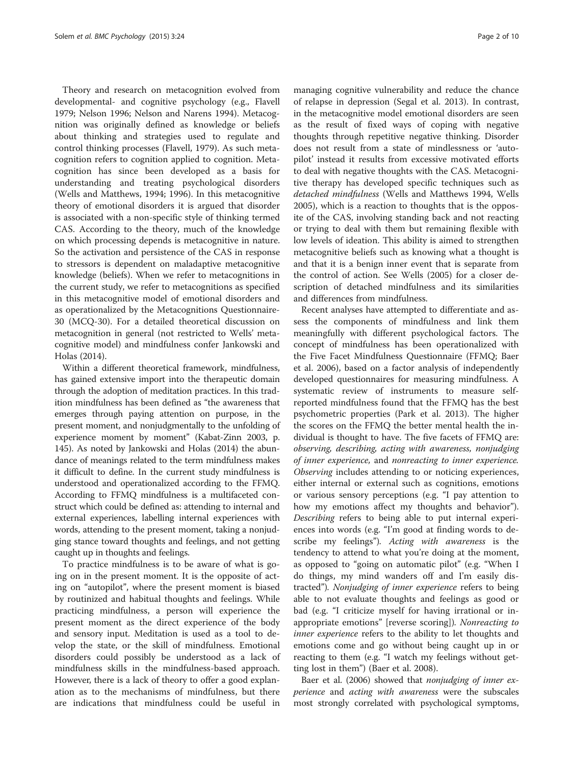Theory and research on metacognition evolved from developmental- and cognitive psychology (e.g., Flavell [1979](#page-8-0); Nelson 1996; Nelson and Narens 1994). Metacognition was originally defined as knowledge or beliefs about thinking and strategies used to regulate and control thinking processes (Flavell, [1979](#page-8-0)). As such metacognition refers to cognition applied to cognition. Metacognition has since been developed as a basis for understanding and treating psychological disorders (Wells and Matthews, [1994](#page-9-0); [1996](#page-9-0)). In this metacognitive theory of emotional disorders it is argued that disorder is associated with a non-specific style of thinking termed CAS. According to the theory, much of the knowledge on which processing depends is metacognitive in nature. So the activation and persistence of the CAS in response to stressors is dependent on maladaptive metacognitive knowledge (beliefs). When we refer to metacognitions in the current study, we refer to metacognitions as specified in this metacognitive model of emotional disorders and as operationalized by the Metacognitions Questionnaire-30 (MCQ-30). For a detailed theoretical discussion on metacognition in general (not restricted to Wells' metacognitive model) and mindfulness confer Jankowski and Holas ([2014\)](#page-8-0).

Within a different theoretical framework, mindfulness, has gained extensive import into the therapeutic domain through the adoption of meditation practices. In this tradition mindfulness has been defined as "the awareness that emerges through paying attention on purpose, in the present moment, and nonjudgmentally to the unfolding of experience moment by moment" (Kabat-Zinn [2003,](#page-8-0) p. 145). As noted by Jankowski and Holas [\(2014](#page-8-0)) the abundance of meanings related to the term mindfulness makes it difficult to define. In the current study mindfulness is understood and operationalized according to the FFMQ. According to FFMQ mindfulness is a multifaceted construct which could be defined as: attending to internal and external experiences, labelling internal experiences with words, attending to the present moment, taking a nonjudging stance toward thoughts and feelings, and not getting caught up in thoughts and feelings.

To practice mindfulness is to be aware of what is going on in the present moment. It is the opposite of acting on "autopilot", where the present moment is biased by routinized and habitual thoughts and feelings. While practicing mindfulness, a person will experience the present moment as the direct experience of the body and sensory input. Meditation is used as a tool to develop the state, or the skill of mindfulness. Emotional disorders could possibly be understood as a lack of mindfulness skills in the mindfulness-based approach. However, there is a lack of theory to offer a good explanation as to the mechanisms of mindfulness, but there are indications that mindfulness could be useful in

managing cognitive vulnerability and reduce the chance of relapse in depression (Segal et al. [2013](#page-8-0)). In contrast, in the metacognitive model emotional disorders are seen as the result of fixed ways of coping with negative thoughts through repetitive negative thinking. Disorder does not result from a state of mindlessness or 'autopilot' instead it results from excessive motivated efforts to deal with negative thoughts with the CAS. Metacognitive therapy has developed specific techniques such as detached mindfulness (Wells and Matthews [1994](#page-9-0), Wells [2005](#page-9-0)), which is a reaction to thoughts that is the opposite of the CAS, involving standing back and not reacting or trying to deal with them but remaining flexible with low levels of ideation. This ability is aimed to strengthen metacognitive beliefs such as knowing what a thought is and that it is a benign inner event that is separate from the control of action. See Wells ([2005](#page-9-0)) for a closer description of detached mindfulness and its similarities and differences from mindfulness.

Recent analyses have attempted to differentiate and assess the components of mindfulness and link them meaningfully with different psychological factors. The concept of mindfulness has been operationalized with the Five Facet Mindfulness Questionnaire (FFMQ; Baer et al. [2006](#page-8-0)), based on a factor analysis of independently developed questionnaires for measuring mindfulness. A systematic review of instruments to measure selfreported mindfulness found that the FFMQ has the best psychometric properties (Park et al. [2013\)](#page-8-0). The higher the scores on the FFMQ the better mental health the individual is thought to have. The five facets of FFMQ are: observing, describing, acting with awareness, nonjudging of inner experience, and nonreacting to inner experience. Observing includes attending to or noticing experiences, either internal or external such as cognitions, emotions or various sensory perceptions (e.g. "I pay attention to how my emotions affect my thoughts and behavior"). Describing refers to being able to put internal experiences into words (e.g. "I'm good at finding words to describe my feelings"). Acting with awareness is the tendency to attend to what you're doing at the moment, as opposed to "going on automatic pilot" (e.g. "When I do things, my mind wanders off and I'm easily distracted"). Nonjudging of inner experience refers to being able to not evaluate thoughts and feelings as good or bad (e.g. "I criticize myself for having irrational or inappropriate emotions" [reverse scoring]). Nonreacting to inner experience refers to the ability to let thoughts and emotions come and go without being caught up in or reacting to them (e.g. "I watch my feelings without getting lost in them") (Baer et al. [2008](#page-8-0)).

Baer et al. [\(2006](#page-8-0)) showed that *nonjudging of inner ex*perience and acting with awareness were the subscales most strongly correlated with psychological symptoms,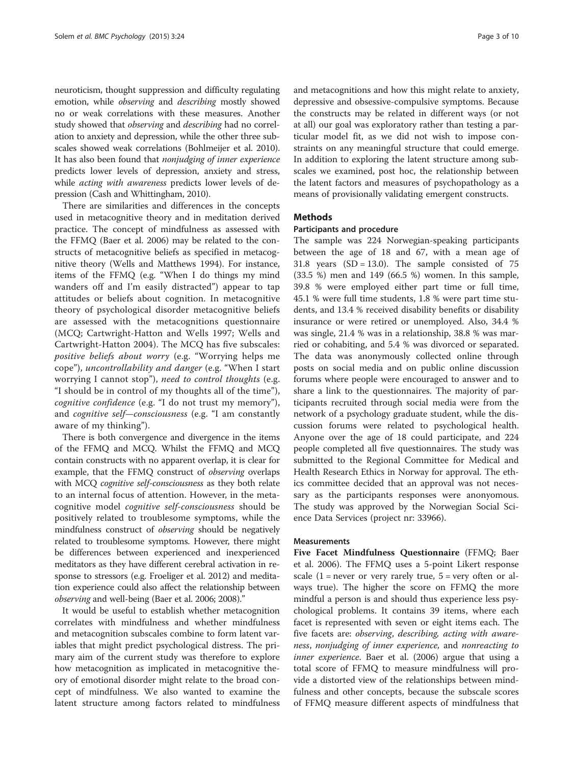neuroticism, thought suppression and difficulty regulating emotion, while observing and describing mostly showed no or weak correlations with these measures. Another study showed that observing and describing had no correlation to anxiety and depression, while the other three subscales showed weak correlations (Bohlmeijer et al. [2010](#page-8-0)). It has also been found that nonjudging of inner experience predicts lower levels of depression, anxiety and stress, while *acting with awareness* predicts lower levels of depression (Cash and Whittingham, [2010](#page-8-0)).

There are similarities and differences in the concepts used in metacognitive theory and in meditation derived practice. The concept of mindfulness as assessed with the FFMQ (Baer et al. [2006](#page-8-0)) may be related to the constructs of metacognitive beliefs as specified in metacognitive theory (Wells and Matthews [1994](#page-9-0)). For instance, items of the FFMQ (e.g. "When I do things my mind wanders off and I'm easily distracted") appear to tap attitudes or beliefs about cognition. In metacognitive theory of psychological disorder metacognitive beliefs are assessed with the metacognitions questionnaire (MCQ; Cartwright-Hatton and Wells [1997;](#page-8-0) Wells and Cartwright-Hatton [2004\)](#page-9-0). The MCQ has five subscales: positive beliefs about worry (e.g. "Worrying helps me cope"), uncontrollability and danger (e.g. "When I start worrying I cannot stop"), need to control thoughts (e.g. "I should be in control of my thoughts all of the time"), cognitive confidence (e.g. "I do not trust my memory"), and cognitive self—consciousness (e.g. "I am constantly aware of my thinking").

There is both convergence and divergence in the items of the FFMQ and MCQ. Whilst the FFMQ and MCQ contain constructs with no apparent overlap, it is clear for example, that the FFMQ construct of observing overlaps with MCQ *cognitive self-consciousness* as they both relate to an internal focus of attention. However, in the metacognitive model cognitive self-consciousness should be positively related to troublesome symptoms, while the mindfulness construct of observing should be negatively related to troublesome symptoms. However, there might be differences between experienced and inexperienced meditators as they have different cerebral activation in response to stressors (e.g. Froeliger et al. [2012](#page-8-0)) and meditation experience could also affect the relationship between observing and well-being (Baer et al. [2006; 2008\)](#page-8-0)."

It would be useful to establish whether metacognition correlates with mindfulness and whether mindfulness and metacognition subscales combine to form latent variables that might predict psychological distress. The primary aim of the current study was therefore to explore how metacognition as implicated in metacognitive theory of emotional disorder might relate to the broad concept of mindfulness. We also wanted to examine the latent structure among factors related to mindfulness

and metacognitions and how this might relate to anxiety, depressive and obsessive-compulsive symptoms. Because the constructs may be related in different ways (or not at all) our goal was exploratory rather than testing a particular model fit, as we did not wish to impose constraints on any meaningful structure that could emerge. In addition to exploring the latent structure among subscales we examined, post hoc, the relationship between the latent factors and measures of psychopathology as a means of provisionally validating emergent constructs.

#### Methods

#### Participants and procedure

The sample was 224 Norwegian-speaking participants between the age of 18 and 67, with a mean age of 31.8 years  $(SD = 13.0)$ . The sample consisted of 75 (33.5 %) men and 149 (66.5 %) women. In this sample, 39.8 % were employed either part time or full time, 45.1 % were full time students, 1.8 % were part time students, and 13.4 % received disability benefits or disability insurance or were retired or unemployed. Also, 34.4 % was single, 21.4 % was in a relationship, 38.8 % was married or cohabiting, and 5.4 % was divorced or separated. The data was anonymously collected online through posts on social media and on public online discussion forums where people were encouraged to answer and to share a link to the questionnaires. The majority of participants recruited through social media were from the network of a psychology graduate student, while the discussion forums were related to psychological health. Anyone over the age of 18 could participate, and 224 people completed all five questionnaires. The study was submitted to the Regional Committee for Medical and Health Research Ethics in Norway for approval. The ethics committee decided that an approval was not necessary as the participants responses were anonyomous. The study was approved by the Norwegian Social Science Data Services (project nr: 33966).

#### Measurements

Five Facet Mindfulness Questionnaire (FFMQ; Baer et al. [2006](#page-8-0)). The FFMQ uses a 5-point Likert response scale  $(1 =$  never or very rarely true,  $5 =$  very often or always true). The higher the score on FFMQ the more mindful a person is and should thus experience less psychological problems. It contains 39 items, where each facet is represented with seven or eight items each. The five facets are: observing, describing, acting with awareness, nonjudging of inner experience, and nonreacting to inner experience. Baer et al. [\(2006\)](#page-8-0) argue that using a total score of FFMQ to measure mindfulness will provide a distorted view of the relationships between mindfulness and other concepts, because the subscale scores of FFMQ measure different aspects of mindfulness that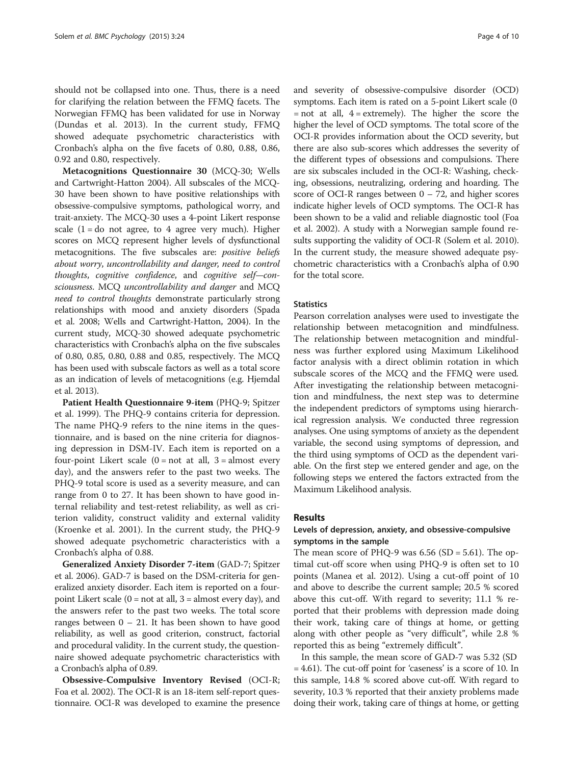should not be collapsed into one. Thus, there is a need for clarifying the relation between the FFMQ facets. The Norwegian FFMQ has been validated for use in Norway (Dundas et al. [2013](#page-8-0)). In the current study, FFMQ showed adequate psychometric characteristics with Cronbach's alpha on the five facets of 0.80, 0.88, 0.86, 0.92 and 0.80, respectively.

Metacognitions Questionnaire 30 (MCQ-30; Wells and Cartwright-Hatton [2004](#page-9-0)). All subscales of the MCQ-30 have been shown to have positive relationships with obsessive-compulsive symptoms, pathological worry, and trait-anxiety. The MCQ-30 uses a 4-point Likert response scale  $(1 = do not agree, to 4 agree very much)$ . Higher scores on MCQ represent higher levels of dysfunctional metacognitions. The five subscales are: positive beliefs about worry, uncontrollability and danger, need to control thoughts, cognitive confidence, and cognitive self—consciousness. MCQ uncontrollability and danger and MCQ need to control thoughts demonstrate particularly strong relationships with mood and anxiety disorders (Spada et al. [2008](#page-8-0); Wells and Cartwright-Hatton, [2004](#page-9-0)). In the current study, MCQ-30 showed adequate psychometric characteristics with Cronbach's alpha on the five subscales of 0.80, 0.85, 0.80, 0.88 and 0.85, respectively. The MCQ has been used with subscale factors as well as a total score as an indication of levels of metacognitions (e.g. Hjemdal et al. [2013](#page-8-0)).

Patient Health Questionnaire 9-item (PHQ-9; Spitzer et al. [1999\)](#page-8-0). The PHQ-9 contains criteria for depression. The name PHQ-9 refers to the nine items in the questionnaire, and is based on the nine criteria for diagnosing depression in DSM-IV. Each item is reported on a four-point Likert scale  $(0 = not at all, 3 = almost every)$ day), and the answers refer to the past two weeks. The PHQ-9 total score is used as a severity measure, and can range from 0 to 27. It has been shown to have good internal reliability and test-retest reliability, as well as criterion validity, construct validity and external validity (Kroenke et al. [2001\)](#page-8-0). In the current study, the PHQ-9 showed adequate psychometric characteristics with a Cronbach's alpha of 0.88.

Generalized Anxiety Disorder 7-item (GAD-7; Spitzer et al. [2006](#page-8-0)). GAD-7 is based on the DSM-criteria for generalized anxiety disorder. Each item is reported on a fourpoint Likert scale  $(0 = not at all, 3 = almost every day)$ , and the answers refer to the past two weeks. The total score ranges between  $0 - 21$ . It has been shown to have good reliability, as well as good criterion, construct, factorial and procedural validity. In the current study, the questionnaire showed adequate psychometric characteristics with a Cronbach's alpha of 0.89.

Obsessive-Compulsive Inventory Revised (OCI-R; Foa et al. [2002](#page-8-0)). The OCI-R is an 18-item self-report questionnaire. OCI-R was developed to examine the presence

and severity of obsessive-compulsive disorder (OCD) symptoms. Each item is rated on a 5-point Likert scale (0  $=$  not at all,  $4 =$  extremely). The higher the score the higher the level of OCD symptoms. The total score of the OCI-R provides information about the OCD severity, but there are also sub-scores which addresses the severity of the different types of obsessions and compulsions. There are six subscales included in the OCI-R: Washing, checking, obsessions, neutralizing, ordering and hoarding. The score of OCI-R ranges between  $0 - 72$ , and higher scores indicate higher levels of OCD symptoms. The OCI-R has been shown to be a valid and reliable diagnostic tool (Foa et al. [2002](#page-8-0)). A study with a Norwegian sample found results supporting the validity of OCI-R (Solem et al. [2010](#page-8-0)). In the current study, the measure showed adequate psychometric characteristics with a Cronbach's alpha of 0.90 for the total score.

#### **Statistics**

Pearson correlation analyses were used to investigate the relationship between metacognition and mindfulness. The relationship between metacognition and mindfulness was further explored using Maximum Likelihood factor analysis with a direct oblimin rotation in which subscale scores of the MCQ and the FFMQ were used. After investigating the relationship between metacognition and mindfulness, the next step was to determine the independent predictors of symptoms using hierarchical regression analysis. We conducted three regression analyses. One using symptoms of anxiety as the dependent variable, the second using symptoms of depression, and the third using symptoms of OCD as the dependent variable. On the first step we entered gender and age, on the following steps we entered the factors extracted from the Maximum Likelihood analysis.

#### Results

#### Levels of depression, anxiety, and obsessive-compulsive symptoms in the sample

The mean score of PHQ-9 was  $6.56$  (SD =  $5.61$ ). The optimal cut-off score when using PHQ-9 is often set to 10 points (Manea et al. [2012\)](#page-8-0). Using a cut-off point of 10 and above to describe the current sample; 20.5 % scored above this cut-off. With regard to severity; 11.1 % reported that their problems with depression made doing their work, taking care of things at home, or getting along with other people as "very difficult", while 2.8 % reported this as being "extremely difficult".

In this sample, the mean score of GAD-7 was 5.32 (SD = 4.61). The cut-off point for 'caseness' is a score of 10. In this sample, 14.8 % scored above cut-off. With regard to severity, 10.3 % reported that their anxiety problems made doing their work, taking care of things at home, or getting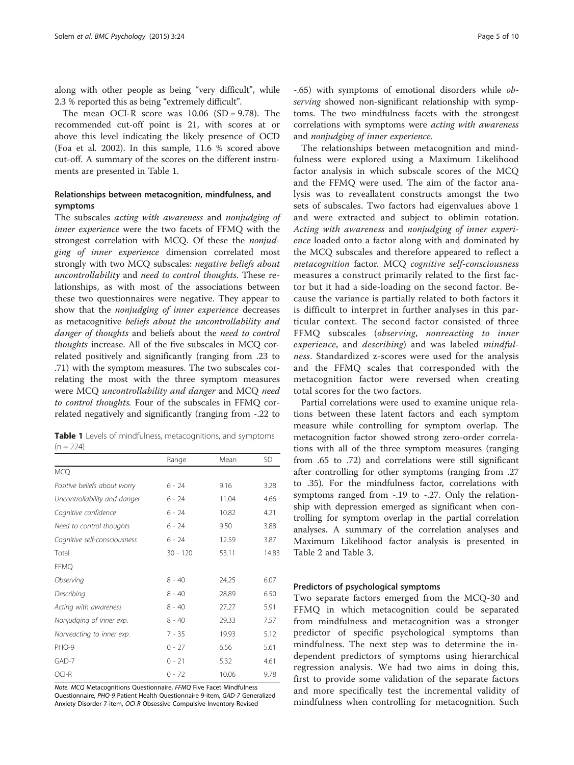along with other people as being "very difficult", while 2.3 % reported this as being "extremely difficult".

The mean OCI-R score was  $10.06$  (SD = 9.78). The recommended cut-off point is 21, with scores at or above this level indicating the likely presence of OCD (Foa et al. [2002\)](#page-8-0). In this sample, 11.6 % scored above cut-off. A summary of the scores on the different instruments are presented in Table 1.

#### Relationships between metacognition, mindfulness, and symptoms

The subscales acting with awareness and nonjudging of inner experience were the two facets of FFMQ with the strongest correlation with MCQ. Of these the nonjudging of inner experience dimension correlated most strongly with two MCQ subscales: negative beliefs about uncontrollability and need to control thoughts. These relationships, as with most of the associations between these two questionnaires were negative. They appear to show that the nonjudging of inner experience decreases as metacognitive beliefs about the uncontrollability and danger of thoughts and beliefs about the need to control thoughts increase. All of the five subscales in MCQ correlated positively and significantly (ranging from .23 to .71) with the symptom measures. The two subscales correlating the most with the three symptom measures were MCQ uncontrollability and danger and MCQ need to control thoughts. Four of the subscales in FFMQ correlated negatively and significantly (ranging from -.22 to

|             |  | Table 1 Levels of mindfulness, metacognitions, and symptoms |  |
|-------------|--|-------------------------------------------------------------|--|
| $(n = 224)$ |  |                                                             |  |

|                              | Range      | Mean  | SD    |
|------------------------------|------------|-------|-------|
| <b>MCQ</b>                   |            |       |       |
| Positive beliefs about worry | 6 - 24     | 9.16  | 3.28  |
| Uncontrollability and danger | $6 - 24$   | 11.04 | 4.66  |
| Cognitive confidence         | $6 - 24$   | 10.82 | 4.21  |
| Need to control thoughts     | 6 - 24     | 9.50  | 3.88  |
| Cognitive self-consciousness | $6 - 24$   | 12.59 | 3.87  |
| Total                        | $30 - 120$ | 53.11 | 14.83 |
| <b>FFMQ</b>                  |            |       |       |
| Observing                    | $8 - 40$   | 24.25 | 6.07  |
| Describing                   | $8 - 40$   | 28.89 | 6.50  |
| Acting with awareness        | $8 - 40$   | 27.27 | 5.91  |
| Nonjudging of inner exp.     | $8 - 40$   | 29.33 | 7.57  |
| Nonreacting to inner exp.    | $7 - 35$   | 19.93 | 5.12  |
| PHQ-9                        | $0 - 27$   | 6.56  | 5.61  |
| GAD-7                        | $0 - 21$   | 5.32  | 4.61  |
| OCI-R                        | $0 - 72$   | 10.06 | 9.78  |

Note. MCQ Metacognitions Questionnaire, FFMQ Five Facet Mindfulness Questionnaire, PHQ-9 Patient Health Questionnaire 9-item, GAD-7 Generalized Anxiety Disorder 7-item, OCI-R Obsessive Compulsive Inventory-Revised

The relationships between metacognition and mindfulness were explored using a Maximum Likelihood factor analysis in which subscale scores of the MCQ and the FFMQ were used. The aim of the factor analysis was to reveallatent constructs amongst the two sets of subscales. Two factors had eigenvalues above 1 and were extracted and subject to oblimin rotation. Acting with awareness and nonjudging of inner experience loaded onto a factor along with and dominated by the MCQ subscales and therefore appeared to reflect a metacognition factor. MCQ cognitive self-consciousness measures a construct primarily related to the first factor but it had a side-loading on the second factor. Because the variance is partially related to both factors it is difficult to interpret in further analyses in this particular context. The second factor consisted of three FFMQ subscales (observing, nonreacting to inner experience, and *describing*) and was labeled *mindful*ness. Standardized z-scores were used for the analysis and the FFMQ scales that corresponded with the metacognition factor were reversed when creating total scores for the two factors.

Partial correlations were used to examine unique relations between these latent factors and each symptom measure while controlling for symptom overlap. The metacognition factor showed strong zero-order correlations with all of the three symptom measures (ranging from .65 to .72) and correlations were still significant after controlling for other symptoms (ranging from .27 to .35). For the mindfulness factor, correlations with symptoms ranged from -.19 to -.27. Only the relationship with depression emerged as significant when controlling for symptom overlap in the partial correlation analyses. A summary of the correlation analyses and Maximum Likelihood factor analysis is presented in Table [2](#page-5-0) and Table [3.](#page-5-0)

#### Predictors of psychological symptoms

Two separate factors emerged from the MCQ-30 and FFMQ in which metacognition could be separated from mindfulness and metacognition was a stronger predictor of specific psychological symptoms than mindfulness. The next step was to determine the independent predictors of symptoms using hierarchical regression analysis. We had two aims in doing this, first to provide some validation of the separate factors and more specifically test the incremental validity of mindfulness when controlling for metacognition. Such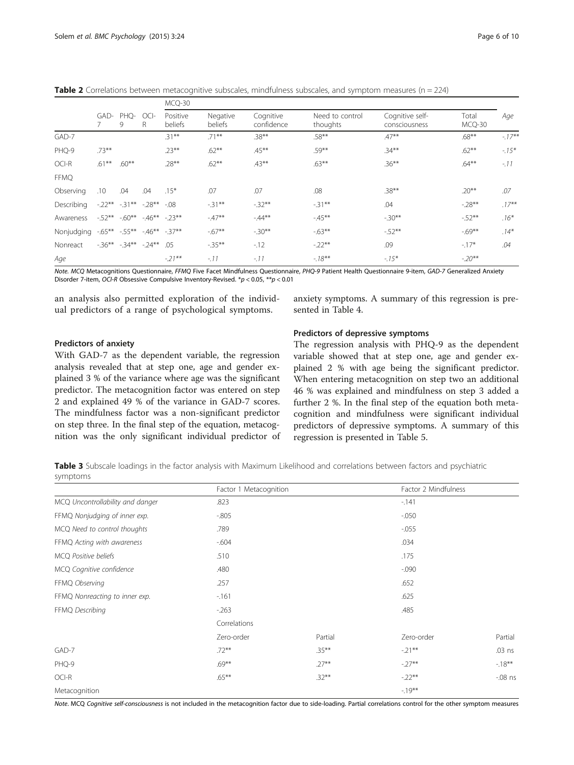<span id="page-5-0"></span>**Table 2** Correlations between metacognitive subscales, mindfulness subscales, and symptom measures ( $n = 224$ )

|             |                                  |                       |                     | MCQ-30              |                         |                             |                                  |                 |          |          |
|-------------|----------------------------------|-----------------------|---------------------|---------------------|-------------------------|-----------------------------|----------------------------------|-----------------|----------|----------|
|             | GAD-<br>PHQ-<br>$OCI-$<br>R<br>9 |                       | Positive<br>beliefs | Negative<br>beliefs | Cognitive<br>confidence | Need to control<br>thoughts | Cognitive self-<br>consciousness | Total<br>MCQ-30 | Age      |          |
| GAD-7       |                                  |                       |                     | $.31***$            | $.71***$                | $.38***$                    | $.58***$                         | $.47**$         | $.68***$ | $-17**$  |
| PHQ-9       | $.73***$                         |                       |                     | $.23***$            | $.62***$                | $.45***$                    | $.59***$                         | $.34***$        | $.62***$ | $-15*$   |
| OCI-R       | $.61***$                         | $.60***$              |                     | $.28***$            | $.62***$                | $.43***$                    | $.63***$                         | $.36***$        | $.64***$ | $-.11$   |
| <b>FFMQ</b> |                                  |                       |                     |                     |                         |                             |                                  |                 |          |          |
| Observing   | .10                              | .04                   | .04                 | $.15*$              | .07                     | .07                         | .08                              | $.38***$        | $.20***$ | .07      |
| Describing  |                                  | $-.22***-.31***$      | $-28**$             | $-0.08$             | $-31**$                 | $-32**$                     | $-31***$                         | .04             | $-28**$  | $.17***$ |
| Awareness   |                                  | $-52***$ $-60**$      |                     | $-46***$ $-23**$    | $-47**$                 | $-44**$                     | $-45**$                          | $-30**$         | $-52**$  | $.16*$   |
| Nonjudging  |                                  | $-0.65***$ $-0.55***$ |                     | $-46***$ $-37**$    | $-67**$                 | $-30**$                     | $-63**$                          | $-52**$         | $-69**$  | $.14*$   |
| Nonreact    |                                  | $-36***$ $-34***$     | $-.24***$           | .05                 | $-35***$                | $-12$                       | $-22**$                          | .09             | $-17*$   | .04      |
| Age         |                                  |                       |                     | $-21**$             | $-.11$                  | $-.11$                      | $-18**$                          | $-15*$          | $-.20**$ |          |

Note. MCQ Metacognitions Questionnaire, FFMQ Five Facet Mindfulness Questionnaire, PHQ-9 Patient Health Questionnaire 9-item, GAD-7 Generalized Anxiety Disorder 7-item, OCI-R Obsessive Compulsive Inventory-Revised. \*p < 0.05, \*\*p < 0.01

an analysis also permitted exploration of the individual predictors of a range of psychological symptoms.

anxiety symptoms. A summary of this regression is presented in Table [4.](#page-6-0)

#### Predictors of anxiety

With GAD-7 as the dependent variable, the regression analysis revealed that at step one, age and gender explained 3 % of the variance where age was the significant predictor. The metacognition factor was entered on step 2 and explained 49 % of the variance in GAD-7 scores. The mindfulness factor was a non-significant predictor on step three. In the final step of the equation, metacognition was the only significant individual predictor of

#### Predictors of depressive symptoms

The regression analysis with PHQ-9 as the dependent variable showed that at step one, age and gender explained 2 % with age being the significant predictor. When entering metacognition on step two an additional 46 % was explained and mindfulness on step 3 added a further 2 %. In the final step of the equation both metacognition and mindfulness were significant individual predictors of depressive symptoms. A summary of this regression is presented in Table [5.](#page-6-0)

Table 3 Subscale loadings in the factor analysis with Maximum Likelihood and correlations between factors and psychiatric symptoms

|                                  | Factor 1 Metacognition |          | Factor 2 Mindfulness |          |  |
|----------------------------------|------------------------|----------|----------------------|----------|--|
| MCQ Uncontrollability and danger | .823                   |          |                      |          |  |
| FFMQ Nonjudging of inner exp.    | $-0.805$               |          | $-0.050$             |          |  |
| MCQ Need to control thoughts     | .789                   |          | $-0.055$             |          |  |
| FFMQ Acting with awareness       | $-604$                 |          | .034                 |          |  |
| MCQ Positive beliefs             | .510                   |          | .175                 |          |  |
| MCQ Cognitive confidence         | .480                   |          | $-0.090$             |          |  |
| FFMQ Observing                   | .257                   |          | .652                 |          |  |
| FFMQ Nonreacting to inner exp.   | $-161$                 |          | .625                 |          |  |
| FFMQ Describing                  | $-263$                 | .485     |                      |          |  |
|                                  | Correlations           |          |                      |          |  |
|                                  | Zero-order             | Partial  | Zero-order           | Partial  |  |
| GAD-7                            | $.72***$               | $.35***$ | $-21**$              | $.03$ ns |  |
| PHQ-9                            | $.69***$               | $.27***$ | $-27**$              | $-18***$ |  |
| OCI-R                            | $.65***$               | $.32***$ | $-22**$              | $-08$ ns |  |
| Metacognition                    |                        |          | $-19***$             |          |  |

Note. MCQ Cognitive self-consciousness is not included in the metacognition factor due to side-loading. Partial correlations control for the other symptom measures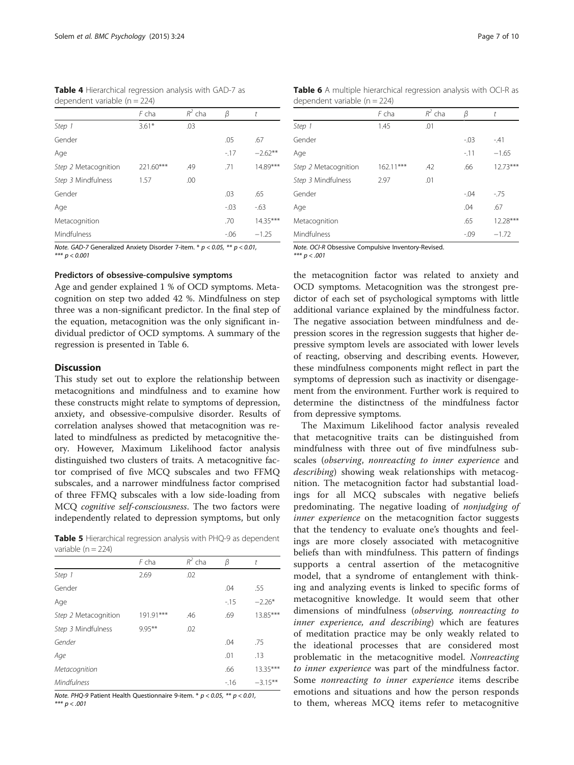<span id="page-6-0"></span>Table 4 Hierarchical regression analysis with GAD-7 as dependent variable (n = 224)

|                      | $F$ cha   | $R^2$ cha | β       | t          |
|----------------------|-----------|-----------|---------|------------|
| Step 1               | $3.61*$   | .03       |         |            |
| Gender               |           |           | .05     | .67        |
| Age                  |           |           | $-17$   | $-2.62***$ |
| Step 2 Metacognition | 221.60*** | .49       | .71     | 14.89***   |
| Step 3 Mindfulness   | 1.57      | .00       |         |            |
| Gender               |           |           | .03     | .65        |
| Age                  |           |           | $-.03$  | $-63$      |
| Metacognition        |           |           | .70     | 14.35***   |
| Mindfulness          |           |           | $-0.06$ | $-1.25$    |

Note. GAD-7 Generalized Anxiety Disorder 7-item.  $* p < 0.05$ ,  $** p < 0.01$ , \*\*\* p < 0.001

#### Predictors of obsessive-compulsive symptoms

Age and gender explained 1 % of OCD symptoms. Metacognition on step two added 42 %. Mindfulness on step three was a non-significant predictor. In the final step of the equation, metacognition was the only significant individual predictor of OCD symptoms. A summary of the regression is presented in Table 6.

#### **Discussion**

This study set out to explore the relationship between metacognitions and mindfulness and to examine how these constructs might relate to symptoms of depression, anxiety, and obsessive-compulsive disorder. Results of correlation analyses showed that metacognition was related to mindfulness as predicted by metacognitive theory. However, Maximum Likelihood factor analysis distinguished two clusters of traits. A metacognitive factor comprised of five MCQ subscales and two FFMQ subscales, and a narrower mindfulness factor comprised of three FFMQ subscales with a low side-loading from MCQ cognitive self-consciousness. The two factors were independently related to depression symptoms, but only

Table 5 Hierarchical regression analysis with PHQ-9 as dependent variable  $(n = 224)$ 

|                      | F cha     | $R^2$ cha | β     | t          |
|----------------------|-----------|-----------|-------|------------|
| Step 1               | 2.69      | .02       |       |            |
| Gender               |           |           | .04   | .55        |
| Age                  |           |           | $-15$ | $-2.26*$   |
| Step 2 Metacognition | 191.91*** | .46       | .69   | 13.85***   |
| Step 3 Mindfulness   | $9.95***$ | .02       |       |            |
| Gender               |           |           | .04   | .75        |
| Age                  |           |           | .01   | .13        |
| Metacognition        |           |           | .66   | $13.35***$ |
| Mindfulness          |           |           | $-16$ | $-3.15***$ |

Note. PHQ-9 Patient Health Questionnaire 9-item.  $* p < 0.05$ ,  $** p < 0.01$ ,

\*\*\*  $p < .001$ 

| dependent variable $(n = 224)$ |             |           |         |            |  |  |  |
|--------------------------------|-------------|-----------|---------|------------|--|--|--|
|                                | F cha       | $R^2$ cha | β       | t          |  |  |  |
| Step 1                         | 1.45        | .01       |         |            |  |  |  |
| Gender                         |             |           | $-0.03$ | $-41$      |  |  |  |
| Age                            |             |           | $-11$   | $-1.65$    |  |  |  |
| Step 2 Metacognition           | $162.11***$ | .42       | .66     | $12.73***$ |  |  |  |
| Step 3 Mindfulness             | 2.97        | .01       |         |            |  |  |  |
| Gender                         |             |           | $-0.04$ | $-75$      |  |  |  |
| Age                            |             |           | .04     | .67        |  |  |  |
| Metacognition                  |             |           | .65     | 12.28***   |  |  |  |
| Mindfulness                    |             |           | $-0.09$ | $-1.72$    |  |  |  |

Note. OCI-R Obsessive Compulsive Inventory-Revised.<br>\*\*\*  $p < .001$ 

 $\mathbf{r}$  and  $\mathbf{r}$ 

the metacognition factor was related to anxiety and OCD symptoms. Metacognition was the strongest predictor of each set of psychological symptoms with little additional variance explained by the mindfulness factor. The negative association between mindfulness and depression scores in the regression suggests that higher depressive symptom levels are associated with lower levels of reacting, observing and describing events. However, these mindfulness components might reflect in part the symptoms of depression such as inactivity or disengagement from the environment. Further work is required to determine the distinctness of the mindfulness factor from depressive symptoms.

The Maximum Likelihood factor analysis revealed that metacognitive traits can be distinguished from mindfulness with three out of five mindfulness subscales (observing, nonreacting to inner experience and describing) showing weak relationships with metacognition. The metacognition factor had substantial loadings for all MCQ subscales with negative beliefs predominating. The negative loading of nonjudging of inner experience on the metacognition factor suggests that the tendency to evaluate one's thoughts and feelings are more closely associated with metacognitive beliefs than with mindfulness. This pattern of findings supports a central assertion of the metacognitive model, that a syndrome of entanglement with thinking and analyzing events is linked to specific forms of metacognitive knowledge. It would seem that other dimensions of mindfulness (observing, nonreacting to inner experience, and describing) which are features of meditation practice may be only weakly related to the ideational processes that are considered most problematic in the metacognitive model. Nonreacting to inner experience was part of the mindfulness factor. Some nonreacting to inner experience items describe emotions and situations and how the person responds to them, whereas MCQ items refer to metacognitive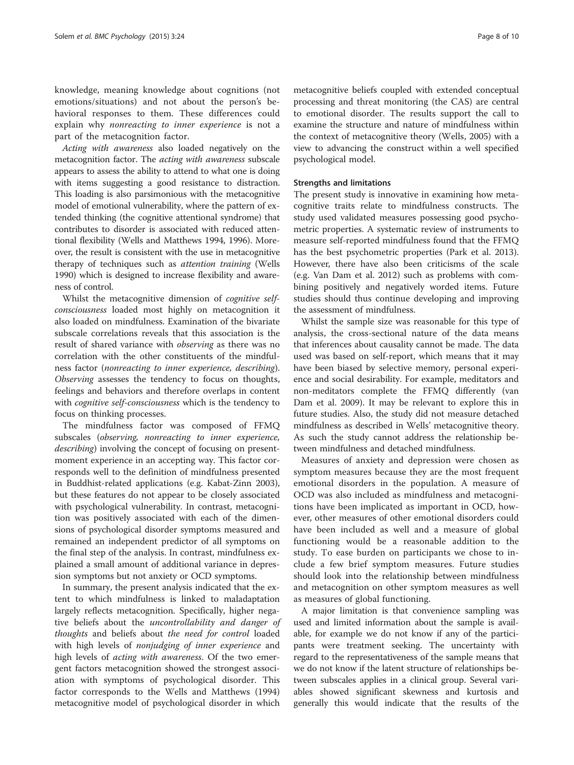knowledge, meaning knowledge about cognitions (not emotions/situations) and not about the person's behavioral responses to them. These differences could explain why nonreacting to inner experience is not a part of the metacognition factor.

Acting with awareness also loaded negatively on the metacognition factor. The *acting with awareness* subscale appears to assess the ability to attend to what one is doing with items suggesting a good resistance to distraction. This loading is also parsimonious with the metacognitive model of emotional vulnerability, where the pattern of extended thinking (the cognitive attentional syndrome) that contributes to disorder is associated with reduced attentional flexibility (Wells and Matthews [1994, 1996\)](#page-9-0). Moreover, the result is consistent with the use in metacognitive therapy of techniques such as attention training (Wells 1990) which is designed to increase flexibility and awareness of control.

Whilst the metacognitive dimension of cognitive selfconsciousness loaded most highly on metacognition it also loaded on mindfulness. Examination of the bivariate subscale correlations reveals that this association is the result of shared variance with observing as there was no correlation with the other constituents of the mindfulness factor (nonreacting to inner experience, describing). Observing assesses the tendency to focus on thoughts, feelings and behaviors and therefore overlaps in content with cognitive self-consciousness which is the tendency to focus on thinking processes.

The mindfulness factor was composed of FFMQ subscales (observing, nonreacting to inner experience, describing) involving the concept of focusing on presentmoment experience in an accepting way. This factor corresponds well to the definition of mindfulness presented in Buddhist-related applications (e.g. Kabat-Zinn 2003), but these features do not appear to be closely associated with psychological vulnerability. In contrast, metacognition was positively associated with each of the dimensions of psychological disorder symptoms measured and remained an independent predictor of all symptoms on the final step of the analysis. In contrast, mindfulness explained a small amount of additional variance in depression symptoms but not anxiety or OCD symptoms.

In summary, the present analysis indicated that the extent to which mindfulness is linked to maladaptation largely reflects metacognition. Specifically, higher negative beliefs about the uncontrollability and danger of thoughts and beliefs about the need for control loaded with high levels of nonjudging of inner experience and high levels of *acting with awareness*. Of the two emergent factors metacognition showed the strongest association with symptoms of psychological disorder. This factor corresponds to the Wells and Matthews ([1994](#page-9-0)) metacognitive model of psychological disorder in which

metacognitive beliefs coupled with extended conceptual processing and threat monitoring (the CAS) are central to emotional disorder. The results support the call to examine the structure and nature of mindfulness within the context of metacognitive theory (Wells, [2005\)](#page-9-0) with a view to advancing the construct within a well specified psychological model.

#### Strengths and limitations

The present study is innovative in examining how metacognitive traits relate to mindfulness constructs. The study used validated measures possessing good psychometric properties. A systematic review of instruments to measure self-reported mindfulness found that the FFMQ has the best psychometric properties (Park et al. [2013](#page-8-0)). However, there have also been criticisms of the scale (e.g. Van Dam et al. [2012](#page-9-0)) such as problems with combining positively and negatively worded items. Future studies should thus continue developing and improving the assessment of mindfulness.

Whilst the sample size was reasonable for this type of analysis, the cross-sectional nature of the data means that inferences about causality cannot be made. The data used was based on self-report, which means that it may have been biased by selective memory, personal experience and social desirability. For example, meditators and non-meditators complete the FFMQ differently (van Dam et al. [2009](#page-8-0)). It may be relevant to explore this in future studies. Also, the study did not measure detached mindfulness as described in Wells' metacognitive theory. As such the study cannot address the relationship between mindfulness and detached mindfulness.

Measures of anxiety and depression were chosen as symptom measures because they are the most frequent emotional disorders in the population. A measure of OCD was also included as mindfulness and metacognitions have been implicated as important in OCD, however, other measures of other emotional disorders could have been included as well and a measure of global functioning would be a reasonable addition to the study. To ease burden on participants we chose to include a few brief symptom measures. Future studies should look into the relationship between mindfulness and metacognition on other symptom measures as well as measures of global functioning.

A major limitation is that convenience sampling was used and limited information about the sample is available, for example we do not know if any of the participants were treatment seeking. The uncertainty with regard to the representativeness of the sample means that we do not know if the latent structure of relationships between subscales applies in a clinical group. Several variables showed significant skewness and kurtosis and generally this would indicate that the results of the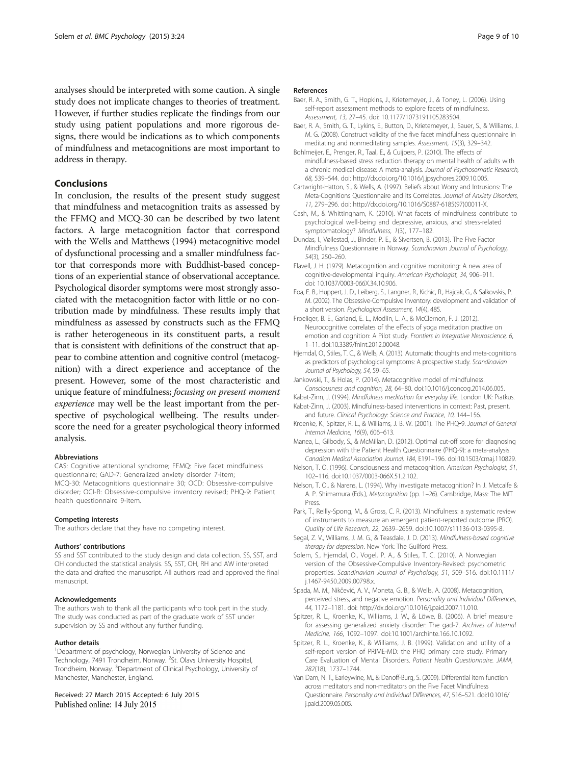<span id="page-8-0"></span>analyses should be interpreted with some caution. A single study does not implicate changes to theories of treatment. However, if further studies replicate the findings from our study using patient populations and more rigorous designs, there would be indications as to which components of mindfulness and metacognitions are most important to address in therapy.

#### Conclusions

In conclusion, the results of the present study suggest that mindfulness and metacognition traits as assessed by the FFMQ and MCQ-30 can be described by two latent factors. A large metacognition factor that correspond with the Wells and Matthews ([1994\)](#page-9-0) metacognitive model of dysfunctional processing and a smaller mindfulness factor that corresponds more with Buddhist-based conceptions of an experiential stance of observational acceptance. Psychological disorder symptoms were most strongly associated with the metacognition factor with little or no contribution made by mindfulness. These results imply that mindfulness as assessed by constructs such as the FFMQ is rather heterogeneous in its constituent parts, a result that is consistent with definitions of the construct that appear to combine attention and cognitive control (metacognition) with a direct experience and acceptance of the present. However, some of the most characteristic and unique feature of mindfulness; focusing on present moment experience may well be the least important from the perspective of psychological wellbeing. The results underscore the need for a greater psychological theory informed analysis.

#### Abbreviations

CAS: Cognitive attentional syndrome; FFMQ: Five facet mindfulness questionnaire; GAD-7: Generalized anxiety disorder 7-item; MCQ-30: Metacognitions questionnaire 30; OCD: Obsessive-compulsive disorder; OCI-R: Obsessive-compulsive inventory revised; PHQ-9: Patient health questionnaire 9-item.

#### Competing interests

The authors declare that they have no competing interest.

#### Authors' contributions

SS and SST contributed to the study design and data collection. SS, SST, and OH conducted the statistical analysis. SS, SST, OH, RH and AW interpreted the data and drafted the manuscript. All authors read and approved the final manuscript.

#### Acknowledgements

The authors wish to thank all the participants who took part in the study. The study was conducted as part of the graduate work of SST under supervision by SS and without any further funding.

#### Author details

<sup>1</sup>Department of psychology, Norwegian University of Science and Technology, 7491 Trondheim, Norway. <sup>2</sup>St. Olavs University Hospital, Trondheim, Norway. <sup>3</sup>Department of Clinical Psychology, University of Manchester, Manchester, England.

Received: 27 March 2015 Accepted: 6 July 2015 Published online: 14 July 2015

#### References

- Baer, R. A., Smith, G. T., Hopkins, J., Krietemeyer, J., & Toney, L. (2006). Using self-report assessment methods to explore facets of mindfulness. Assessment, 13, 27–45. doi: [10.1177/1073191105283504.](http://dx.doi.org/10.1177/1073191105283504)
- Baer, R. A., Smith, G. T., Lykins, E., Button, D., Krietemeyer, J., Sauer, S., & Williams, J. M. G. (2008). Construct validity of the five facet mindfulness questionnaire in meditating and nonmeditating samples. Assessment, 15(3), 329–342.
- Bohlmeijer, E., Prenger, R., Taal, E., & Cuijpers, P. (2010). The effects of mindfulness-based stress reduction therapy on mental health of adults with a chronic medical disease: A meta-analysis. Journal of Psychosomatic Research, 68, 539–544. doi: http://dx.doi.org/[10.1016/j.jpsychores.2009.10.005.](http://dx.doi.org/10.1016/j.jpsychores.2009.10.005)
- Cartwright-Hatton, S., & Wells, A. (1997). Beliefs about Worry and Intrusions: The Meta-Cognitions Questionnaire and its Correlates. Journal of Anxiety Disorders, 11, 279–296. doi: http://dx.doi.org/[10.1016/S0887-6185\(97\)00011-X](http://dx.doi.org/10.1016/S0887-6185(97)00011-X).
- Cash, M., & Whittingham, K. (2010). What facets of mindfulness contribute to psychological well-being and depressive, anxious, and stress-related symptomatology? Mindfulness, 1(3), 177–182.
- Dundas, I., Vøllestad, J., Binder, P. E., & Sivertsen, B. (2013). The Five Factor Mindfulness Questionnaire in Norway. Scandinavian Journal of Psychology, 54(3), 250–260.
- Flavell, J. H. (1979). Metacognition and cognitive monitoring: A new area of cognitive-developmental inquiry. American Psychologist, 34, 906–911. doi: [10.1037/0003-066X.34.10.906.](http://dx.doi.org/10.1037/0003-066X.34.10.906)
- Foa, E. B., Huppert, J. D., Leiberg, S., Langner, R., Kichic, R., Hajcak, G., & Salkovskis, P. M. (2002). The Obsessive-Compulsive Inventory: development and validation of a short version. Psychological Assessment, 14(4), 485.

Froeliger, B. E., Garland, E. L., Modlin, L. A., & McClernon, F. J. (2012). Neurocognitive correlates of the effects of yoga meditation practive on emotion and cognition: A Pilot study. Frontiers in Integrative Neuroscience, 6, 1–11. doi[:10.3389/fnint.2012.00048](http://dx.doi.org/10.3389/fnint.2012.00048).

Hjemdal, O., Stiles, T. C., & Wells, A. (2013). Automatic thoughts and meta-cognitions as predictors of psychological symptoms: A prospective study. Scandinavian Journal of Psychology, 54, 59–65.

Jankowski, T., & Holas, P. (2014). Metacognitive model of mindfulness. Consciousness and cognition, 28, 64–80. doi[:10.1016/j.concog.2014.06.005.](http://dx.doi.org/10.1016/j.concog.2014.06.005)

Kabat-Zinn, J. (1994). Mindfulness meditation for everyday life. London UK: Piatkus. Kabat-Zinn, J. (2003). Mindfulness-based interventions in context: Past, present,

and future. Clinical Psychology: Science and Practice, 10, 144–156.

- Kroenke, K., Spitzer, R. L., & Williams, J. B. W. (2001). The PHQ‐9. Journal of General Internal Medicine, 16(9), 606–613.
- Manea, L., Gilbody, S., & McMillan, D. (2012). Optimal cut-off score for diagnosing depression with the Patient Health Questionnaire (PHQ-9): a meta-analysis. Canadian Medical Association Journal, 184, E191–196. doi[:10.1503/cmaj.110829](http://dx.doi.org/10.1503/cmaj.110829).
- Nelson, T. O. (1996). Consciousness and metacognition. American Psychologist, 51, 102–116. doi[:10.1037/0003-066X.51.2.102](http://dx.doi.org/10.1037/0003-066X.51.2.102).
- Nelson, T. O., & Narens, L. (1994). Why investigate metacognition? In J. Metcalfe & A. P. Shimamura (Eds.), Metacognition (pp. 1-26). Cambridge, Mass: The MIT Press.
- Park, T., Reilly-Spong, M., & Gross, C. R. (2013). Mindfulness: a systematic review of instruments to measure an emergent patient-reported outcome (PRO). Quality of Life Research, 22, 2639–2659. doi:[10.1007/s11136-013-0395-8.](http://dx.doi.org/10.1007/s11136-013-0395-8)
- Segal, Z. V., Williams, J. M. G., & Teasdale, J. D. (2013). Mindfulness-based cognitive therapy for depression. New York: The Guilford Press.
- Solem, S., Hjemdal, O., Vogel, P. A., & Stiles, T. C. (2010). A Norwegian version of the Obsessive-Compulsive Inventory-Revised: psychometric properties. Scandinavian Journal of Psychology, 51, 509–516. doi:[10.1111/](http://dx.doi.org/10.1111/j.1467-9450.2009.00798.x) [j.1467-9450.2009.00798.x](http://dx.doi.org/10.1111/j.1467-9450.2009.00798.x).
- Spada, M. M., Nikčević, A. V., Moneta, G. B., & Wells, A. (2008). Metacognition, perceived stress, and negative emotion. Personality and Individual Differences, 44, 1172–1181. doi: http://dx.doi.org/[10.1016/j.paid.2007.11.010](http://dx.doi.org/10.1016/j.paid.2007.11.010).
- Spitzer, R. L., Kroenke, K., Williams, J. W., & Löwe, B. (2006). A brief measure for assessing generalized anxiety disorder: The gad-7. Archives of Internal Medicine, 166, 1092–1097. doi[:10.1001/archinte.166.10.1092](http://dx.doi.org/10.1001/archinte.166.10.1092).
- Spitzer, R. L., Kroenke, K., & Williams, J. B. (1999). Validation and utility of a self-report version of PRIME-MD: the PHQ primary care study. Primary Care Evaluation of Mental Disorders. Patient Health Questionnaire. JAMA, 282(18), 1737–1744.
- Van Dam, N. T., Earleywine, M., & Danoff-Burg, S. (2009). Differential item function across meditators and non-meditators on the Five Facet Mindfulness Questionnaire. Personality and Individual Differences, 47, 516–521. doi[:10.1016/](http://dx.doi.org/10.1016/j.paid.2009.05.005) [j.paid.2009.05.005](http://dx.doi.org/10.1016/j.paid.2009.05.005).